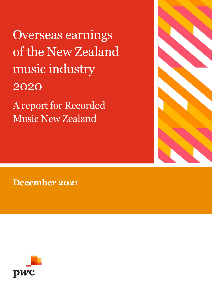Overseas earnings of the New Zealand music industry 2020

A report for Recorded Music New Zealand



**December 2021**

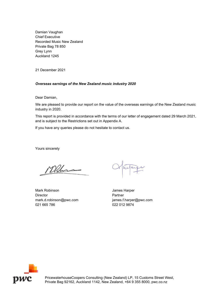Damian Vaughan Chief Executive Recorded Music New Zealand Private Bag 78 850 Grey Lynn Auckland 1245

21 December 2021

#### *Overseas earnings of the New Zealand music industry 2020*

Dear Damian,

We are pleased to provide our report on the value of the overseas earnings of the New Zealand music industry in 2020.

This report is provided in accordance with the terms of our letter of engagement dated 29 March 2021, and is subject to the Restrictions set out in Appendix A.

If you have any queries please do not hesitate to contact us.

Yours sincerely

Mehr

Mark Robinson **Mark Robinson** James Harper Director **Partner** mark.d.robinson@pwc.com james.f.harper@pwc.com 021 665 786 022 012 9874



PricewaterhouseCoopers Consulting (New Zealand) LP, 15 Customs Street West, Private Bag 92162, Auckland 1142, New Zealand, +64 9 355 8000, pwc.co.nz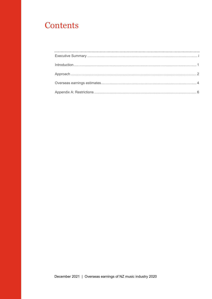# Contents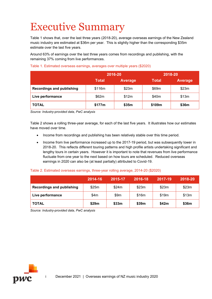# <span id="page-3-0"></span>Executive Summary

[Table 1](#page-3-1) shows that, over the last three years (2018-20), average overseas earnings of the New Zealand music industry are estimated at \$36m per year. This is slightly higher than the corresponding \$35m estimate over the last five years.

Around 63% of earnings over the last three years comes from recordings and publishing, with the remaining 37% coming from live performances.

|                                  | 2016-20      |         | 2018-20      |                |  |
|----------------------------------|--------------|---------|--------------|----------------|--|
|                                  | <b>Total</b> | Average | <b>Total</b> | <b>Average</b> |  |
| <b>Recordings and publishing</b> | \$116m       | \$23m   | \$69m        | \$23m          |  |
| Live performance                 | \$62m        | \$12m   | \$40m        | \$13m          |  |
| <b>TOTAL</b>                     | \$177m       | \$35m   | \$109m       | \$36m          |  |

<span id="page-3-1"></span>Table 1. Estimated overseas earnings, averages over multiple years (\$2020)

*Source: Industry-provided data, PwC analysis*

[Table 2](#page-3-2) shows a rolling three-year average, for each of the last five years. It illustrates how our estimates have moved over time.

- Income from recordings and publishing has been relatively stable over this time period.
- Income from live performance increased up to the 2017-19 period, but was subsequently lower in 2018-20. This reflects different touring patterns and high profile artists undertaking significant and lengthy tours in certain years. However it is important to note that revenues from live performance fluctuate from one year to the next based on how tours are scheduled. Reduced overseas earnings in 2020 can also be (at least partially) attributed to Covid-19.

#### <span id="page-3-2"></span>Table 2. Estimated overseas earnings, three-year rolling average, 2014-20 (\$2020)

|                                  | 2014-16 | 2015-17 | 2016-18 | 2017-19 | 2018-20 |
|----------------------------------|---------|---------|---------|---------|---------|
| <b>Recordings and publishing</b> | \$25m   | \$24m   | \$23m   | \$23m   | \$23m   |
| Live performance                 | \$4m    | \$9m    | \$16m   | \$19m   | \$13m   |
| <b>TOTAL</b>                     | \$29m   | \$33m   | \$39m   | \$42m   | \$36m   |

*Source: Industry-provided data, PwC analysis*

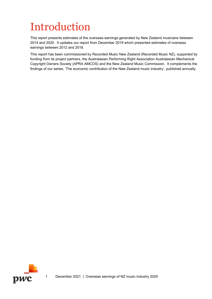# <span id="page-4-0"></span>Introduction

This report presents estimates of the overseas earnings generated by New Zealand musicians between 2014 and 2020. It updates our report from December 2019 which presented estimates of overseas earnings between 2012 and 2018.

This report has been commissioned by Recorded Music New Zealand (Recorded Music NZ), supported by funding from its project partners, the Australasian Performing Right Association Australasian Mechanical Copyright Owners Society (APRA AMCOS) and the New Zealand Music Commission. It complements the findings of our series, 'The economic contribution of the New Zealand music industry', published annually.

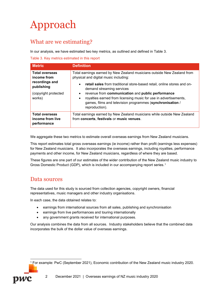# <span id="page-5-0"></span>Approach

### What are we estimating?

In our analysis, we have estimated two key metrics, as outlined and defined in [Table 3.](#page-5-1)

<span id="page-5-1"></span>Table 3. Key metrics estimated in this report

| <b>Metric</b>                                                                                          | <b>Definition</b>                                                                                                                                                                                                                                                                                                                                                                                                                                          |
|--------------------------------------------------------------------------------------------------------|------------------------------------------------------------------------------------------------------------------------------------------------------------------------------------------------------------------------------------------------------------------------------------------------------------------------------------------------------------------------------------------------------------------------------------------------------------|
| <b>Total overseas</b><br>income from<br>recordings and<br>publishing<br>(copyright protected<br>works) | Total earnings earned by New Zealand musicians outside New Zealand from<br>physical and digital music including:<br>retail sales from traditional store-based retail, online stores and on-<br>demand streaming services<br>revenue from communication and public performance<br>$\bullet$<br>royalties earned from licensing music for use in advertisements,<br>$\bullet$<br>games, films and television programmes (synchronisation /<br>reproduction). |
| <b>Total overseas</b><br>income from live<br>performance                                               | Total earnings earned by New Zealand musicians while outside New Zealand<br>from concerts, festivals or music venues.                                                                                                                                                                                                                                                                                                                                      |

We aggregate these two metrics to estimate overall overseas earnings from New Zealand musicians.

This report estimates total gross overseas earnings (ie income) rather than profit (earnings less expenses) for New Zealand musicians. It also incorporates the overseas earnings, including royalties, performance payments and other income, for New Zealand musicians, regardless of where they are based.

These figures are one part of our estimates of the wider contribution of the New Zealand music industry to Gross Domestic Product (GDP), which is included in our accompanying report series.[1](#page-5-2) 

### Data sources

The data used for this study is sourced from collection agencies, copyright owners, financial representatives, music managers and other industry organisations.

In each case, the data obtained relates to:

- earnings from international sources from all sales, publishing and synchronisation
- earnings from live performances and touring internationally
- any government grants received for international purposes.

Our analysis combines the data from all sources. Industry stakeholders believe that the combined data incorporates the bulk of the dollar value of overseas earnings.



<span id="page-5-2"></span>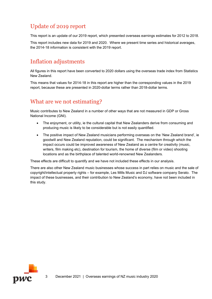## Update of 2019 report

This report is an update of our 2019 report, which presented overseas earnings estimates for 2012 to 2018.

This report includes new data for 2019 and 2020. Where we present time series and historical averages, the 2014-18 information is consistent with the 2019 report.

## Inflation adjustments

All figures in this report have been converted to 2020 dollars using the overseas trade index from Statistics New Zealand.

This means that values for 2014-18 in this report are higher than the corresponding values in the 2019 report, because these are presented in 2020-dollar terms rather than 2018-dollar terms.

## What are we not estimating?

Music contributes to New Zealand in a number of other ways that are not measured in GDP or Gross National Income (GNI).

- The enjoyment, or utility, ie the cultural capital that New Zealanders derive from consuming and producing music is likely to be considerable but is not easily quantified.
- The positive impact of New Zealand musicians performing overseas on the 'New Zealand brand', ie goodwill and New Zealand reputation, could be significant. The mechanism through which the impact occurs could be improved awareness of New Zealand as a centre for creativity (music, writers, film making etc), destination for tourism, the home of diverse (film or video) shooting locations and as the birthplace of talented world-renowned New Zealanders.

These effects are difficult to quantify and we have not included these effects in our analysis.

There are also other New Zealand music businesses whose success in part relies on music and the sale of copyright/intellectual property rights – for example, Les Mills Music and DJ software company Serato. The impact of these businesses, and their contribution to New Zealand's economy, have not been included in this study.

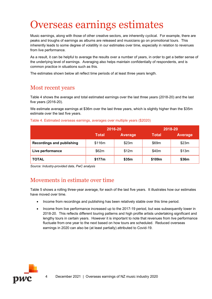# <span id="page-7-0"></span>Overseas earnings estimates

Music earnings, along with those of other creative sectors, are inherently cyclical. For example, there are peaks and troughs of earnings as albums are released and musicians go on promotional tours. This inherently leads to some degree of volatility in our estimates over time, especially in relation to revenues from live performance.

As a result, it can be helpful to average the results over a number of years, in order to get a better sense of the underlying level of earnings. Averaging also helps maintain confidentially of respondents, and is common practice in situations such as this.

The estimates shown below all reflect time periods of at least three years length.

### Most recent years

[Table 4](#page-7-1) shows the average and total estimated earnings over the last three years (2018-20) and the last five years (2016-20).

We estimate average earnings at \$36m over the last three years, which is slightly higher than the \$35m estimate over the last five years.

|                                  | 2016-20      |                | 2018-20      |                |  |
|----------------------------------|--------------|----------------|--------------|----------------|--|
|                                  | <b>Total</b> | <b>Average</b> | <b>Total</b> | <b>Average</b> |  |
| <b>Recordings and publishing</b> | \$116m       | \$23m          | \$69m        | \$23m          |  |
| Live performance                 | \$62m        | \$12m          | \$40m        | \$13m          |  |
| <b>TOTAL</b>                     | \$177m       | \$35m          | \$109m       | \$36m          |  |

<span id="page-7-1"></span>Table 4. Estimated overseas earnings, averages over multiple years (\$2020)

*Source: Industry-provided data, PwC analysis*

### Movements in estimate over time

Table 5 shows a rolling three-year average, for each of the last five years. It illustrates how our estimates have moved over time.

- Income from recordings and publishing has been relatively stable over this time period.
- Income from live performance increased up to the 2017-19 period, but was subsequently lower in 2018-20. This reflects different touring patterns and high profile artists undertaking significant and lengthy tours in certain years. However it is important to note that revenues from live performance fluctuate from one year to the next based on how tours are scheduled. Reduced overseas earnings in 2020 can also be (at least partially) attributed to Covid-19.



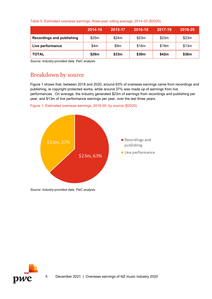#### Table 5. Estimated overseas earnings, three-year rolling average, 2014-20 (\$2020)

|                                  | 2014-16 | 2015-17 | 2016-18 | 2017-19 | 2018-20 |
|----------------------------------|---------|---------|---------|---------|---------|
| <b>Recordings and publishing</b> | \$25m   | \$24m   | \$23m   | \$23m   | \$23m   |
| Live performance                 | \$4m    | \$9m    | \$16m   | \$19m   | \$13m   |
| <b>TOTAL</b>                     | \$29m   | \$33m   | \$39m   | \$42m   | \$36m   |

*Source: Industry-provided data, PwC analysis*

## Breakdown by source

[Figure 1](#page-8-0) shows that, between 2018 and 2020, around 63% of overseas earnings came from recordings and publishing, ie copyright protected works, while around 37% was made up of earnings from live performances. On average, the industry generated \$23m of earnings from recordings and publishing per year, and \$13m of live performance earnings per year, over the last three years.

<span id="page-8-0"></span>



*Source: Industry-provided data, PwC analysis*